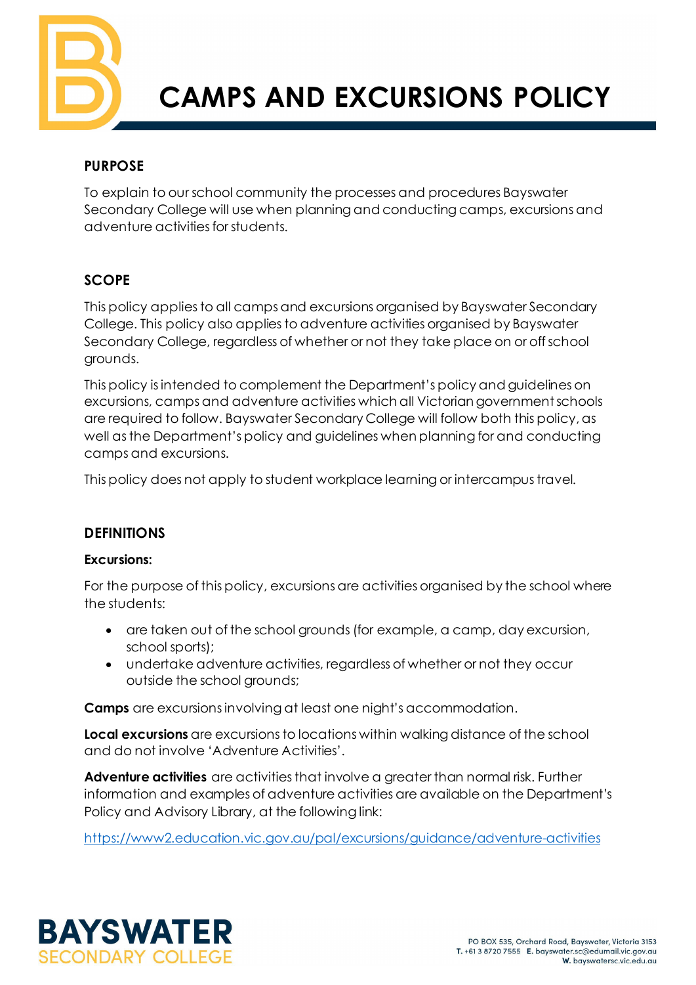

# **CAMPS AND EXCURSIONS POLICY**

## **PURPOSE**

To explain to our school community the processes and procedures Bayswater Secondary College will use when planning and conducting camps, excursions and adventure activities for students.

## **SCOPE**

This policy applies to all camps and excursions organised by Bayswater Secondary College. This policy also applies to adventure activities organised by Bayswater Secondary College, regardless of whether or not they take place on or off school grounds.

This policy is intended to complement the Department's policy and guidelines on excursions, camps and adventure activities which all Victorian government schools are required to follow. Bayswater Secondary College will follow both this policy, as well as the Department's policy and guidelines when planning for and conducting camps and excursions.

This policy does not apply to student workplace learning or intercampus travel.

#### **DEFINITIONS**

#### **Excursions:**

For the purpose of this policy, excursions are activities organised by the school where the students:

- are taken out of the school grounds (for example, a camp, day excursion, school sports);
- undertake adventure activities, regardless of whether or not they occur outside the school grounds;

**Camps** are excursions involving at least one night's accommodation.

**Local excursions** are excursions to locations within walking distance of the school and do not involve 'Adventure Activities'.

**Adventure activities** are activities that involve a greater than normal risk. Further information and examples of adventure activities are available on the Department's Policy and Advisory Library, at the following link:

<https://www2.education.vic.gov.au/pal/excursions/guidance/adventure-activities>

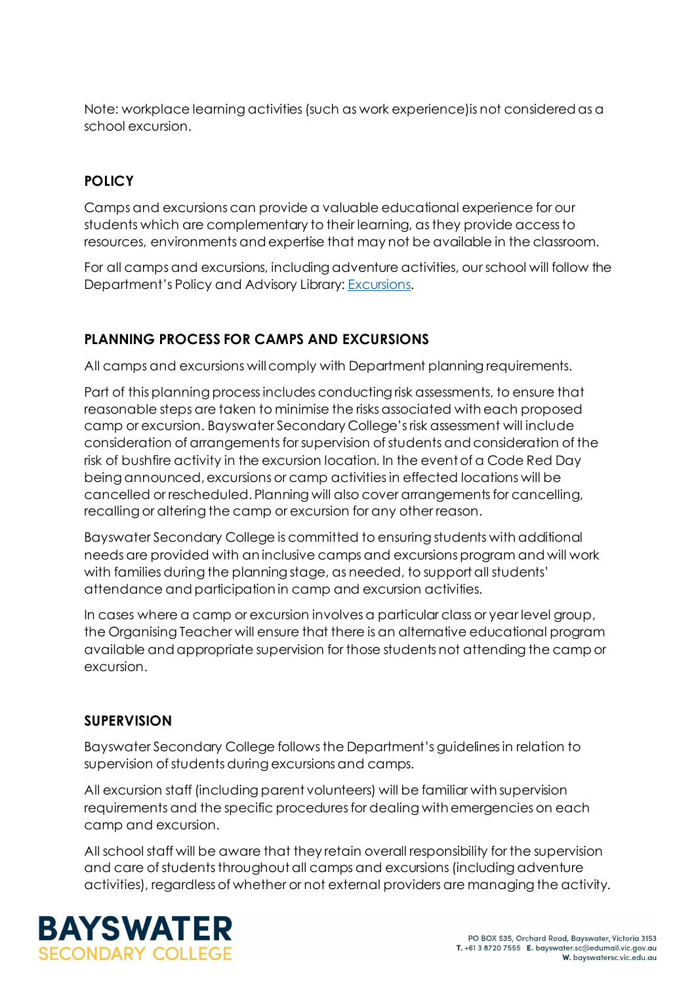Note: workplace learning activities (such as work experience)is not considered as a school excursion.

#### **POLICY**

Camps and excursions can provide a valuable educational experience for our students which are complementary to their learning, as they provide access to resources, environments and expertise that may not be available in the classroom.

For all camps and excursions, including adventure activities, our school will follow the Department's Policy and Advisory Library: **Excursions**.

## **PLANNING PROCESS FOR CAMPS AND EXCURSIONS**

All camps and excursions will comply with Department planning requirements.

Part of this planning process includes conducting risk assessments, to ensure that reasonable steps are taken to minimise the risks associated with each proposed camp or excursion. Bayswater Secondary College's risk assessment will include consideration of arrangements for supervision of students and consideration of the risk of bushfire activity in the excursion location. In the event of a Code Red Day being announced, excursions or camp activities in effected locations will be cancelled or rescheduled. Planning will also cover arrangements for cancelling, recalling or altering the camp or excursion for any other reason.

Bayswater Secondary College is committed to ensuring students with additional needs are provided with an inclusive camps and excursions program and will work with families during the planning stage, as needed, to support all students' attendance and participation in camp and excursion activities.

In cases where a camp or excursion involves a particular class or year level group, the Organising Teacher will ensure that there is an alternative educational program available and appropriate supervision for those students not attending the camp or excursion.

#### **SUPERVISION**

Bayswater Secondary College follows the Department's guidelines in relation to supervision of students during excursions and camps.

All excursion staff (including parent volunteers) will be familiar with supervision requirements and the specific procedures for dealing with emergencies on each camp and excursion.

All school staff will be aware that they retain overall responsibility for the supervision and care of students throughout all camps and excursions (including adventure activities), regardless of whether or not external providers are managing the activity.

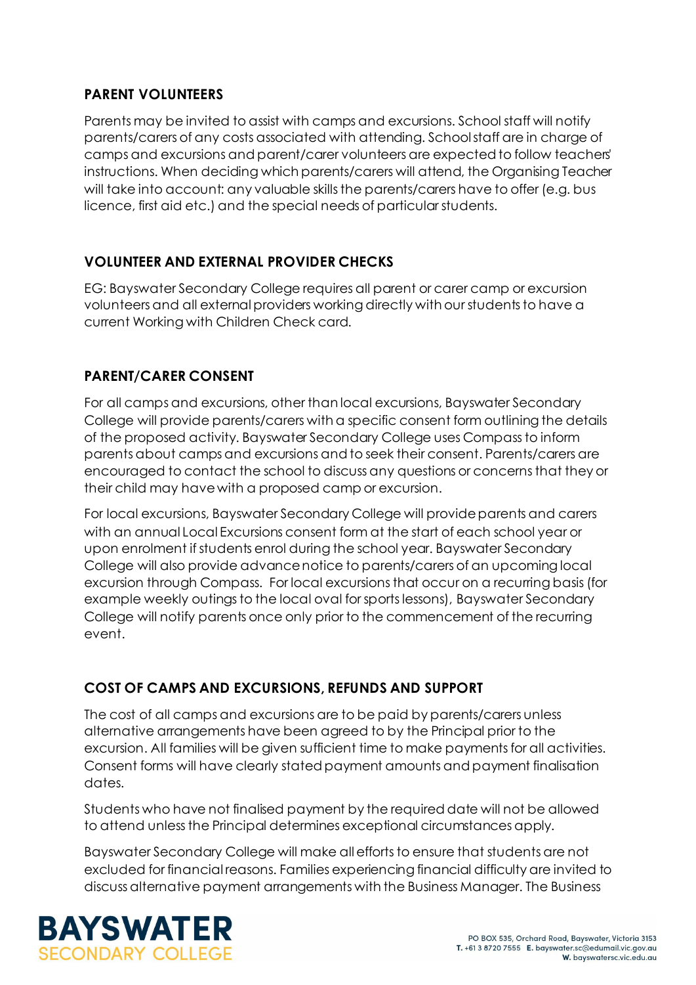#### **PARENT VOLUNTEERS**

Parents may be invited to assist with camps and excursions. School staff will notify parents/carers of any costs associated with attending. School staff are in charge of camps and excursions and parent/carer volunteers are expected to follow teachers' instructions. When deciding which parents/carers will attend, the Organising Teacher will take into account: any valuable skills the parents/carers have to offer (e.g. bus licence, first aid etc.) and the special needs of particular students.

## **VOLUNTEER AND EXTERNAL PROVIDER CHECKS**

EG: Bayswater Secondary College requires all parent or carer camp or excursion volunteers and all external providers working directly with our students to have a current Working with Children Check card.

## **PARENT/CARER CONSENT**

For all camps and excursions, other than local excursions, Bayswater Secondary College will provide parents/carers with a specific consent form outlining the details of the proposed activity. Bayswater Secondary College uses Compass to inform parents about camps and excursions and to seek their consent. Parents/carers are encouraged to contact the school to discuss any questions or concerns that they or their child may have with a proposed camp or excursion.

For local excursions, Bayswater Secondary College will provide parents and carers with an annual Local Excursions consent form at the start of each school year or upon enrolment if students enrol during the school year. Bayswater Secondary College will also provide advance notice to parents/carers of an upcoming local excursion through Compass. For local excursions that occur on a recurring basis (for example weekly outings to the local oval for sports lessons), Bayswater Secondary College will notify parents once only prior to the commencement of the recurring event.

# **COST OF CAMPS AND EXCURSIONS, REFUNDS AND SUPPORT**

The cost of all camps and excursions are to be paid by parents/carers unless alternative arrangements have been agreed to by the Principal prior to the excursion. All families will be given sufficient time to make payments for all activities. Consent forms will have clearly stated payment amounts and payment finalisation dates.

Students who have not finalised payment by the required date will not be allowed to attend unless the Principal determines exceptional circumstances apply.

Bayswater Secondary College will make all efforts to ensure that students are not excluded for financial reasons. Families experiencing financial difficulty are invited to discuss alternative payment arrangements with the Business Manager. The Business

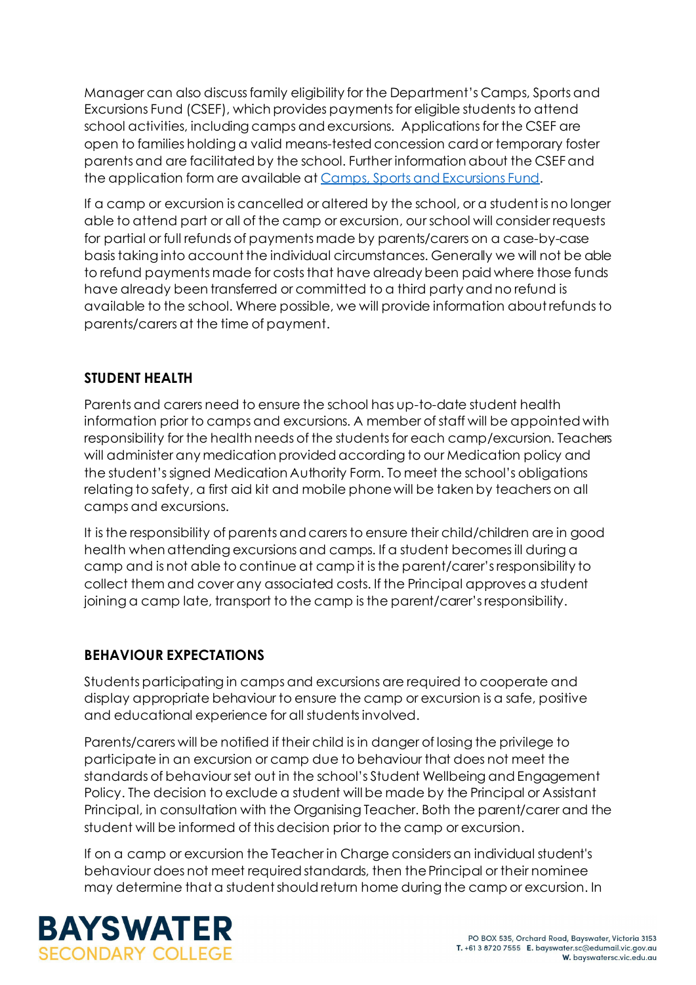Manager can also discuss family eligibility for the Department's Camps, Sports and Excursions Fund (CSEF), which provides payments for eligible students to attend school activities, including camps and excursions. Applications for the CSEF are open to families holding a valid means-tested concession card or temporary foster parents and are facilitated by the school. Further information about the CSEF and the application form are available a[t Camps, Sports and Excursions Fund](https://www2.education.vic.gov.au/pal/camps-sports-and-excursions-fund/policy).

If a camp or excursion is cancelled or altered by the school, or a student is no longer able to attend part or all of the camp or excursion, our school will consider requests for partial or full refunds of payments made by parents/carers on a case-by-case basis taking into account the individual circumstances. Generally we will not be able to refund payments made for costs that have already been paid where those funds have already been transferred or committed to a third party and no refund is available to the school. Where possible, we will provide information about refunds to parents/carers at the time of payment.

## **STUDENT HEALTH**

Parents and carers need to ensure the school has up-to-date student health information prior to camps and excursions. A member of staff will be appointed with responsibility for the health needs of the students for each camp/excursion. Teachers will administer any medication provided according to our Medication policy and the student's signed Medication Authority Form. To meet the school's obligations relating to safety, a first aid kit and mobile phone will be taken by teachers on all camps and excursions.

It is the responsibility of parents and carers to ensure their child/children are in good health when attending excursions and camps. If a student becomes ill during a camp and is not able to continue at camp it is the parent/carer's responsibility to collect them and cover any associated costs. If the Principal approves a student joining a camp late, transport to the camp is the parent/carer's responsibility.

#### **BEHAVIOUR EXPECTATIONS**

Students participating in camps and excursions are required to cooperate and display appropriate behaviour to ensure the camp or excursion is a safe, positive and educational experience for all students involved.

Parents/carers will be notified if their child is in danger of losing the privilege to participate in an excursion or camp due to behaviour that does not meet the standards of behaviour set out in the school's Student Wellbeing and Engagement Policy. The decision to exclude a student will be made by the Principal or Assistant Principal, in consultation with the Organising Teacher. Both the parent/carer and the student will be informed of this decision prior to the camp or excursion.

If on a camp or excursion the Teacher in Charge considers an individual student's behaviour does not meet required standards, then the Principal or their nominee may determine that a student should return home during the camp or excursion. In

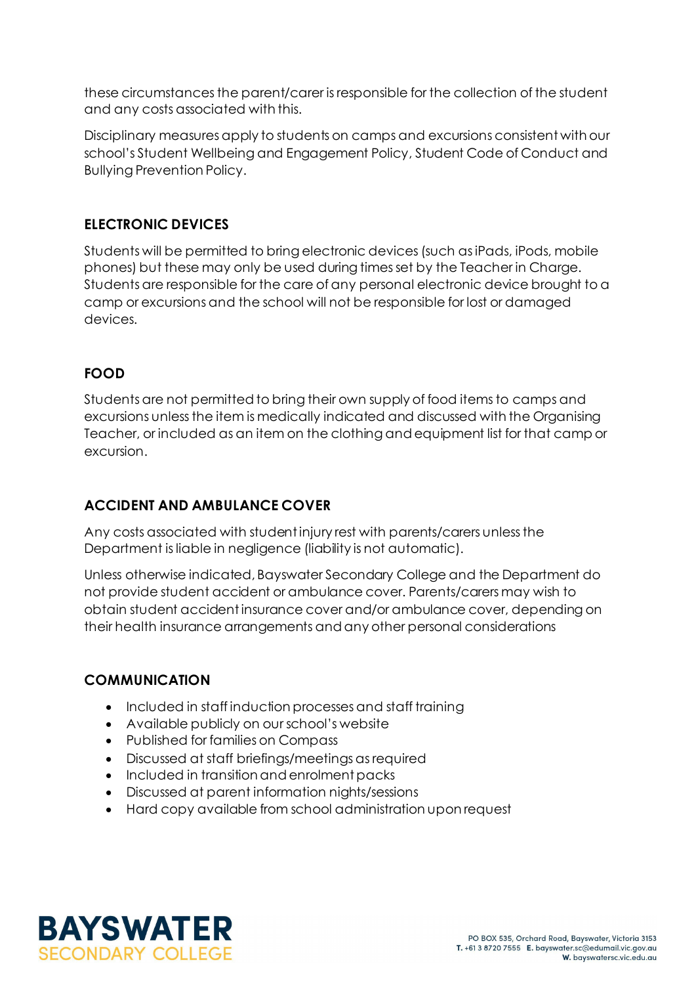these circumstances the parent/carer is responsible for the collection of the student and any costs associated with this.

Disciplinary measures apply to students on camps and excursions consistent with our school's Student Wellbeing and Engagement Policy, Student Code of Conduct and Bullying Prevention Policy.

#### **ELECTRONIC DEVICES**

Students will be permitted to bring electronic devices (such as iPads, iPods, mobile phones) but these may only be used during times set by the Teacher in Charge. Students are responsible for the care of any personal electronic device brought to a camp or excursions and the school will not be responsible for lost or damaged devices.

#### **FOOD**

Students are not permitted to bring their own supply of food items to camps and excursions unless the item is medically indicated and discussed with the Organising Teacher, or included as an item on the clothing and equipment list for that camp or excursion.

#### **ACCIDENT AND AMBULANCE COVER**

Any costs associated with student injury rest with parents/carers unless the Department is liable in negligence (liability is not automatic).

Unless otherwise indicated, Bayswater Secondary College and the Department do not provide student accident or ambulance cover. Parents/carers may wish to obtain student accident insurance cover and/or ambulance cover, depending on their health insurance arrangements and any other personal considerations

#### **COMMUNICATION**

- Included in staff induction processes and staff training
- Available publicly on our school's website
- Published for families on Compass
- Discussed at staff briefings/meetings as required
- Included in transition and enrolment packs
- Discussed at parent information nights/sessions
- Hard copy available from school administration upon request